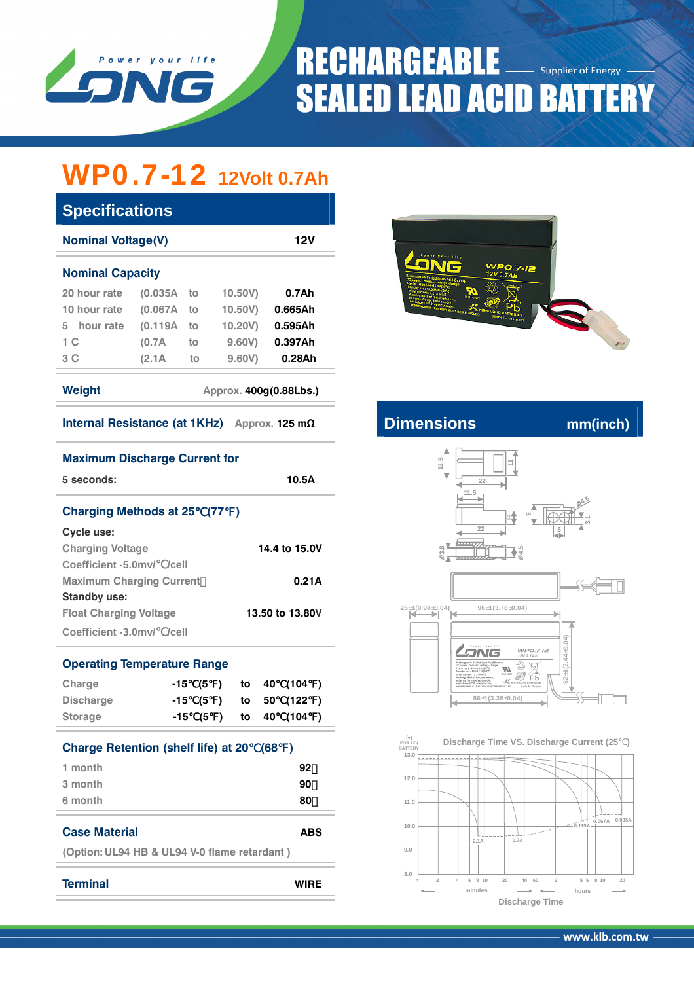

## **RECHARGEABLE Supplier of Energy SEALED LEAD ACID BATTERY**

# WP0.7-12 **12Volt 0.7Ah**

| <b>Specifications</b><br><b>Nominal Voltage(V)</b> |              |    |                        | <b>12V</b>                                                                                                                                     |                                                                                             |          |
|----------------------------------------------------|--------------|----|------------------------|------------------------------------------------------------------------------------------------------------------------------------------------|---------------------------------------------------------------------------------------------|----------|
| <b>Nominal Capacity</b>                            |              |    |                        | Power your life<br><b>WPO.7-12</b><br>12V 0.7Ah<br>schargeable Sealed Lead-Acid Battery<br>OC power, Constant voltage charge<br>0.080114.418.0 |                                                                                             |          |
| 20 hour rate                                       | $(0.035A$ to |    | 10.50V                 | 0.7Ah                                                                                                                                          | ₩<br>$M_{\text{max}}$                                                                       |          |
| 10 hour rate                                       | (0.067A)     | to | 10.50V                 | 0.665Ah                                                                                                                                        | ors 69°C, or incinerate<br><b>NSPREABLE BATTERY MUST BE RECYCLED</b><br>KUNG LONG BATTERIES |          |
| hour rate<br>5.                                    | (0.119A)     | to | 10.20V                 | 0.595Ah                                                                                                                                        | Made in Vietnam                                                                             |          |
| 1 <sup>C</sup>                                     | (0.7A)       | to | 9.60V                  | 0.397Ah                                                                                                                                        |                                                                                             |          |
| 3 <sup>C</sup>                                     | (2.1A)       | to | 9.60V                  | 0.28Ah                                                                                                                                         |                                                                                             |          |
| Weight                                             |              |    | Approx. 400g(0.88Lbs.) |                                                                                                                                                |                                                                                             |          |
| <b>Internal Resistance (at 1KHz)</b>               |              |    |                        | Approx. 125 $m\Omega$                                                                                                                          | <b>Dimensions</b>                                                                           | mm(inch) |

| <b>Maximum Discharge Current for</b>             |          |  |     |    |       |       |  |  |  |  |
|--------------------------------------------------|----------|--|-----|----|-------|-------|--|--|--|--|
| 5 seconds:                                       | 10.5A    |  |     |    |       |       |  |  |  |  |
| Charging Methods at 25 (77)                      |          |  |     |    |       |       |  |  |  |  |
| <b>Cycle use:</b>                                |          |  |     |    |       |       |  |  |  |  |
| 14.4 to 15.0V<br><b>Charging Voltage</b>         |          |  |     |    |       |       |  |  |  |  |
| Coefficient -5.0mv/ /cell                        |          |  |     |    |       |       |  |  |  |  |
| <b>Maximum Charging Current</b><br>0.21A         |          |  |     |    |       |       |  |  |  |  |
| <b>Standby use:</b>                              |          |  |     |    |       |       |  |  |  |  |
| <b>Float Charging Voltage</b><br>13.50 to 13.80V |          |  |     |    |       |       |  |  |  |  |
| Coefficient -3.0mv/ /cell                        |          |  |     |    |       |       |  |  |  |  |
| <b>Operating Temperature Range</b>               |          |  |     |    |       |       |  |  |  |  |
| Charge                                           | -15      |  | (5) |    | to 40 | (104) |  |  |  |  |
| <b>Discharge</b>                                 | -15 (5)  |  |     | to | 50    | (122) |  |  |  |  |
| <b>Storage</b>                                   | -15 (5 ) |  |     |    |       |       |  |  |  |  |
| <b>Charge Retention (shelf life) at 20</b>       |          |  |     |    | (68)  |       |  |  |  |  |
| 1 month                                          |          |  |     |    |       | 92    |  |  |  |  |
| 3 month                                          | 90       |  |     |    |       |       |  |  |  |  |
| 6 month<br>80                                    |          |  |     |    |       |       |  |  |  |  |
| <b>Case Material</b><br><b>ARS</b>               |          |  |     |    |       |       |  |  |  |  |
| (Option: UL94 HB & UL94 V-0 flame retardant)     |          |  |     |    |       |       |  |  |  |  |
| <b>Terminal</b><br>WIRE                          |          |  |     |    |       |       |  |  |  |  |